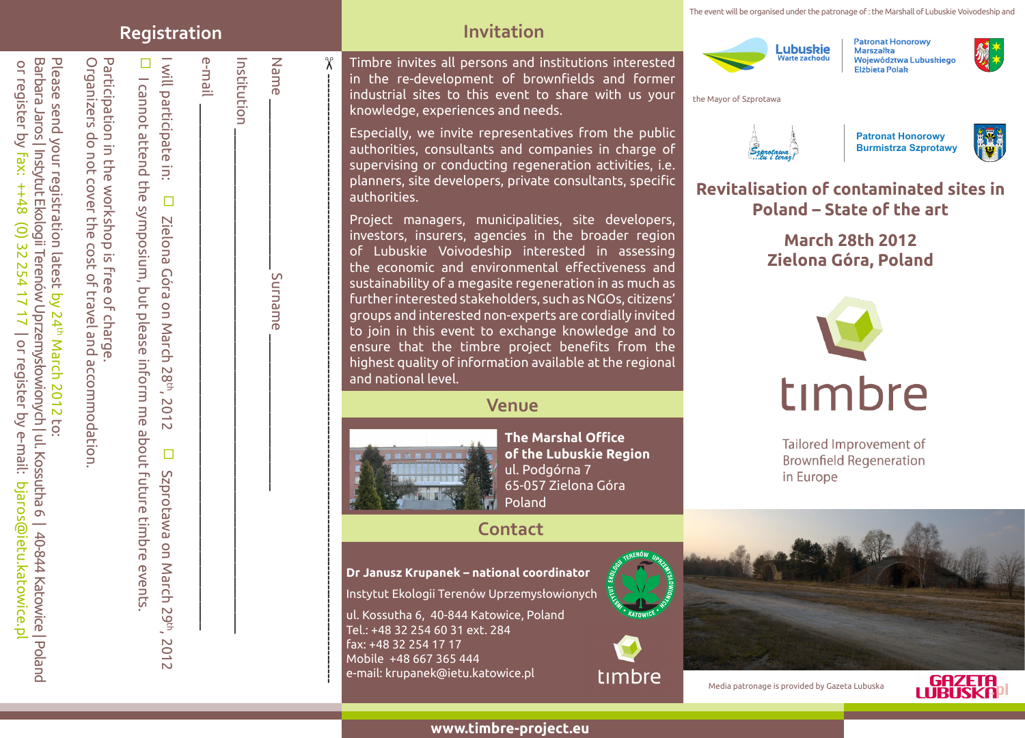The event will be organised under the patronage of : the Marshall of Lubuskie Voivodeship and

#### **Registration Invitation**

e-mail

Institution

П

Please send your registration latest

or register by

or register by fax:

fax: ++48 (0) 32 254 17 17

 $8++$ 

Please send your registration latest by 24th March 2012 to:

by 24th March 2012

Barbara Jaros | Instytut Ekologii Terenów Uprzemysłowionych | ul. Kossutha 6 | 40-844 Katowice | Poland

Barbara Jaros | Instytut Ekologii Terenów Uprzemysłowionych | ul. Kossutha 6 | 40-844 Katowice | Poland

| or register by e-mail: bjaros@ietu.katowice.pl

17 | or register by e-mail: bjaros@ietu.katowice.p

Organizers do not cover the cost of travel and accommodation.

Organizers do not cover the cost of travel and accommodation

Participation in the workshop is free of charge.

Participation in the workshop is free of charge

I will participate in:

I will participate

 $\Box$ 

Zielona

Góra

 $\Xi$ 

Zielona Góra on March 28th, 2012

on March 28<sup>th</sup>,

2012

I cannot attend the symposium, but please inform me about future timbre events.

I cannot attend the symposium, but please inform me about future timbre events

D Szprotawa on March 29th,

Szprotawa on March 29th, 2012

2012

Timbre invites all persons and institutions interested in the re-development of brownfields and former industrial sites to this event to share with us your knowledge, experiences and needs.

Especially, we invite representatives from the public authorities, consultants and companies in charge of supervising or conducting regeneration activities, i.e. planners, site developers, private consultants, specific authorities.

Project managers, municipalities, site developers, investors, insurers, agencies in the broader region of Lubuskie Voivodeship interested in assessing the economic and environmental effectiveness and sustainability of a megasite regeneration in as much as further interested stakeholders, such as NGOs, citizens' groups and interested non-experts are cordially invited to join in this event to exchange knowledge and to ensure that the timbre project benefits from the highest quality of information available at the regional and national level.

#### **Venue**



 $\chi$ 

----------------------------------------------------------------------------------------------------------------------------------

Name \_\_\_\_\_\_\_\_\_\_\_\_\_\_\_\_\_\_\_\_\_\_\_\_ Surname \_\_\_\_\_\_\_\_\_\_\_\_\_\_\_\_\_\_\_\_\_\_

Surname

Name

Institution \_\_\_\_\_\_\_\_\_\_\_\_\_\_\_\_\_\_\_\_\_\_\_\_\_\_\_\_\_\_\_\_\_\_\_\_\_\_\_\_\_\_\_\_\_\_\_\_\_\_\_\_\_\_\_\_\_\_\_\_\_\_\_\_\_\_\_\_\_\_\_

e-mail \_\_\_\_\_\_\_\_\_\_\_\_\_\_\_\_\_\_\_\_\_\_\_\_\_\_\_\_\_\_\_\_\_\_\_\_\_\_\_\_\_\_\_\_\_\_\_\_\_\_\_\_\_\_\_\_\_\_\_\_\_\_\_\_\_\_\_\_\_\_\_\_\_\_

**The Marshal Office of the Lubuskie Region** ul. Podgórna 7 65-057 Zielona Góra Poland

#### **Contact**

**Dr Janusz Krupanek – national coordinator**

Instytut Ekologii Terenów Uprzemysłowionych

ul. Kossutha 6, 40-844 Katowice, Poland Tel.: +48 32 254 60 31 ext. 284 fax: +48 32 254 17 17 Mobile +48 667 365 444 e-mail: krupanek@ietu.katowice.pl







**Patronat Honorowy** Marszałka Województwa Lubuskiego Elżbieta Polak



#### the Mayor of Szprotawa



**Patronat Honorowy Burmistrza Szprotawy**



**Revitalisation of contaminated sites in Poland – State of the art**

### **March 28th 2012 Zielona Góra, Poland**



Tailored Improvement of **Brownfield Regeneration** in Europe

Media patronage is provided by Gazeta Lubuska



**www.timbre-project.eu**